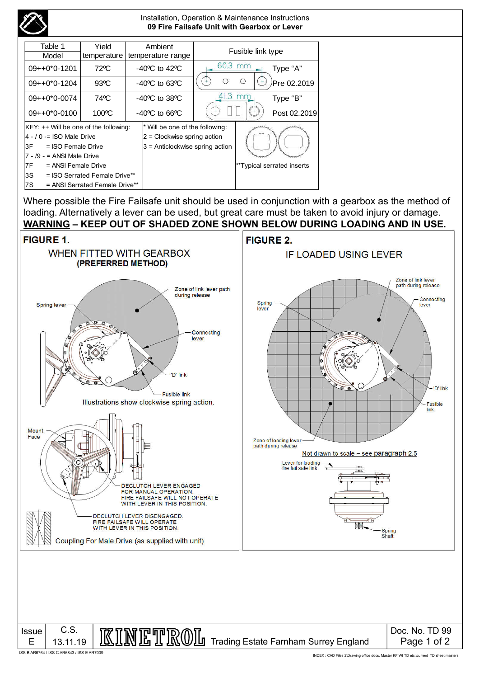

#### Installation, Operation & Maintenance Instructions **09 Fire Failsafe Unit with Gearbox or Lever**

| Table 1                               | Yield          |  | Ambient                            |           | Fusible link type |                            |
|---------------------------------------|----------------|--|------------------------------------|-----------|-------------------|----------------------------|
| Model                                 | temperature    |  | temperature range                  |           |                   |                            |
| $09++0*0-1201$                        | 72°C           |  | $-40^{\circ}$ C to $42^{\circ}$ C  | 60.3 mm   |                   | Type "A"                   |
| $09++0*0-1204$                        | $93^{\circ}$ C |  | $-40^{\circ}$ C to 63 $^{\circ}$ C |           |                   | Pre 02.2019                |
| $09++0*0-0074$                        | 74°C           |  | $-40^{\circ}$ C to 38 $^{\circ}$ C | $41.3$ mm |                   | Type "B"                   |
| $09++0*0-0100$                        | 100°C          |  | $-40^{\circ}$ C to 66 $^{\circ}$ C |           |                   | Post 02.2019               |
| KEY: ++ Will be one of the following: |                |  | * Will be one of the following:    |           |                   |                            |
| 4 - / 0 -= ISO Male Drive             |                |  | $ 2$ = Clockwise spring action     |           |                   |                            |
| l3F<br>= ISO Female Drive             |                |  | $3$ = Anticlockwise spring action  |           |                   |                            |
| $7 - 9 - 19 -$ ANSI Male Drive        |                |  |                                    |           |                   |                            |
| 17 F<br>= ANSI Female Drive           |                |  |                                    |           |                   | **Typical serrated inserts |
| l3S<br>= ISO Serrated Female Drive**  |                |  |                                    |           |                   |                            |
| 17S<br>= ANSI Serrated Female Drive** |                |  |                                    |           |                   |                            |

Where possible the Fire Failsafe unit should be used in conjunction with a gearbox as the method of loading. Alternatively a lever can be used, but great care must be taken to avoid injury or damage. **WARNING – KEEP OUT OF SHADED ZONE SHOWN BELOW DURING LOADING AND IN USE.**



ISS B AR6764 / ISS C AR6843 / ISS E AR7009

INDEX : CAD Files 2\Drawing office docs. Master KF WI TD etc.\current TD sheet masters